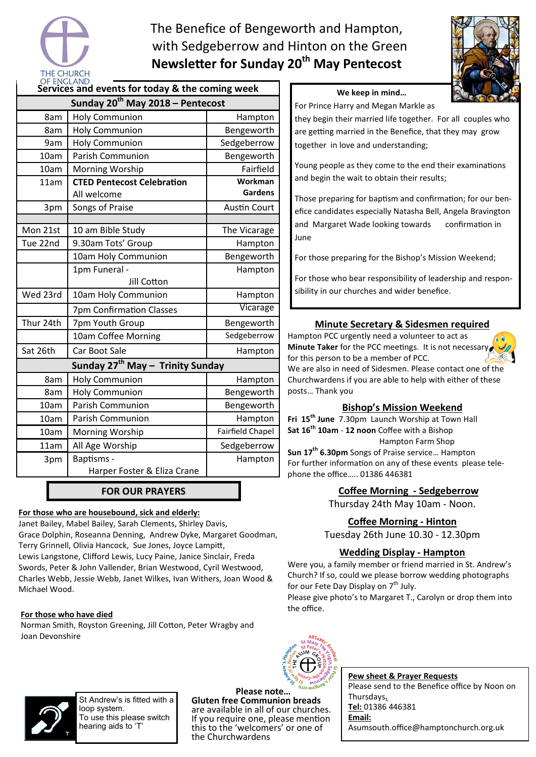

# The Benefice of Bengeworth and Hampton, with Sedgeberrow and Hinton on the Green **Newsleer for Sunday 20th May Pentecost**



### **We keep in mind…**

For Prince Harry and Megan Markle as

they begin their married life together. For all couples who are getting married in the Benefice, that they may grow together in love and understanding;

Young people as they come to the end their examinations and begin the wait to obtain their results;

Those preparing for baptism and confirmation; for our benefice candidates especially Natasha Bell, Angela Bravington and Margaret Wade looking towards confirmation in June

For those preparing for the Bishop's Mission Weekend;

For those who bear responsibility of leadership and responsibility in our churches and wider benefice.

### **Minute Secretary & Sidesmen required**

Hampton PCC urgently need a volunteer to act as **Minute Taker** for the PCC meetings. It is not necessar for this person to be a member of PCC. We are also in need of Sidesmen. Please contact one of the Churchwardens if you are able to help with either of these posts… Thank you



**Fri 15th June** 7.30pm Launch Worship at Town Hall **Sat 16th 10am** - **12 noon** Coffee with a Bishop Hampton Farm Shop

**Sun 17th 6.30pm** Songs of Praise service… Hampton For further information on any of these events please telephone the office….. 01386 446381

### **Coffee Morning - Sedgeberrow**

Thursday 24th May 10am - Noon.

### **Coffee Morning - Hinton**

Tuesday 26th June 10.30 - 12.30pm

### **Wedding Display - Hampton**

Were you, a family member or friend married in St. Andrew's Church? If so, could we please borrow wedding photographs for our Fete Day Display on 7<sup>th</sup> July.

Please give photo's to Margaret T., Carolyn or drop them into the office.



**Pew sheet & Prayer Requests**  Please send to the Benefice office by Noon on Thursdays**. Tel:** 01386 446381 **Email:**  Asumsouth.office@hamptonchurch.org.uk

| Sunday 20 <sup>th</sup> May 2018 – Pentecost |                                   |                         |
|----------------------------------------------|-----------------------------------|-------------------------|
| 8am                                          | <b>Holy Communion</b>             | Hampton                 |
| 8am                                          | <b>Holy Communion</b>             | Bengeworth              |
| 9am                                          | <b>Holy Communion</b>             | Sedgeberrow             |
| 10am                                         | <b>Parish Communion</b>           | Bengeworth              |
| 10am                                         | Morning Worship                   | Fairfield               |
| 11am                                         | <b>CTED Pentecost Celebration</b> | Workman                 |
|                                              | All welcome                       | Gardens                 |
| 3pm                                          | Songs of Praise                   | <b>Austin Court</b>     |
|                                              |                                   |                         |
| Mon 21st                                     | 10 am Bible Study                 | The Vicarage            |
| Tue 22nd                                     | 9.30am Tots' Group                | Hampton                 |
|                                              | 10am Holy Communion               | Bengeworth              |
|                                              | 1pm Funeral -                     | Hampton                 |
|                                              | Jill Cotton                       |                         |
| Wed 23rd                                     | 10am Holy Communion               | Hampton                 |
|                                              | 7pm Confirmation Classes          | Vicarage                |
| Thur 24th                                    | 7pm Youth Group                   | Bengeworth              |
|                                              | 10am Coffee Morning               | Sedgeberrow             |
| Sat 26th                                     | Car Boot Sale                     | Hampton                 |
| Sunday 27 <sup>th</sup> May - Trinity Sunday |                                   |                         |
| 8am                                          | <b>Holy Communion</b>             | Hampton                 |
| 8am                                          | <b>Holy Communion</b>             | Bengeworth              |
| 10am                                         | <b>Parish Communion</b>           | Bengeworth              |
| 10am                                         | <b>Parish Communion</b>           | Hampton                 |
| 10am                                         | Morning Worship                   | <b>Fairfield Chapel</b> |
| 11am                                         | All Age Worship                   | Sedgeberrow             |
| 3pm                                          | Baptisms -                        | Hampton                 |
|                                              | Harper Foster & Eliza Crane       |                         |
|                                              |                                   |                         |

**FOR OUR PRAYERS** 

### **For those who are housebound, sick and elderly:**

Janet Bailey, Mabel Bailey, Sarah Clements, Shirley Davis, Grace Dolphin, Roseanna Denning, Andrew Dyke, Margaret Goodman, Terry Grinnell, Olivia Hancock, Sue Jones, Joyce Lampitt, Lewis Langstone, Clifford Lewis, Lucy Paine, Janice Sinclair, Freda Swords, Peter & John Vallender, Brian Westwood, Cyril Westwood, Charles Webb, Jessie Webb, Janet Wilkes, Ivan Withers, Joan Wood & Michael Wood.

### **For those who have died**

Norman Smith, Royston Greening, Jill Cotton, Peter Wragby and Joan Devonshire



St Andrew's is fitted with a loop system. To use this please switch hearing aids to 'T'

**Please note… Gluten free Communion breads**  are available in all of our churches. If you require one, please mention this to the 'welcomers' or one of the Churchwardens